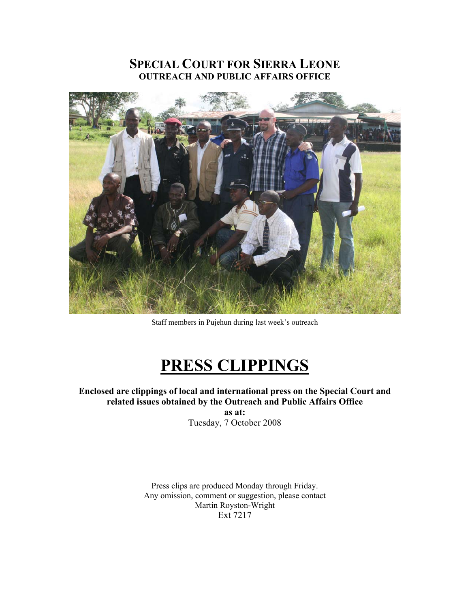# **SPECIAL COURT FOR SIERRA LEONE OUTREACH AND PUBLIC AFFAIRS OFFICE**



Staff members in Pujehun during last week's outreach

# **PRESS CLIPPINGS**

**Enclosed are clippings of local and international press on the Special Court and related issues obtained by the Outreach and Public Affairs Office as at:** 

Tuesday, 7 October 2008

Press clips are produced Monday through Friday. Any omission, comment or suggestion, please contact Martin Royston-Wright Ext 7217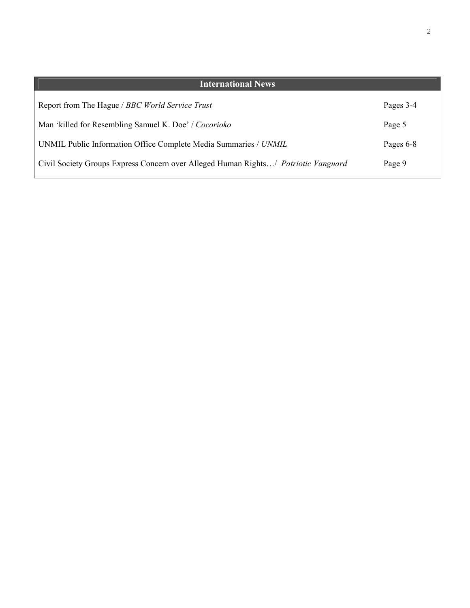| <b>International News</b>                                                          |           |
|------------------------------------------------------------------------------------|-----------|
| Report from The Hague / BBC World Service Trust                                    | Pages 3-4 |
| Man 'killed for Resembling Samuel K. Doe' / Cocorioko                              | Page 5    |
| UNMIL Public Information Office Complete Media Summaries / UNMIL                   | Pages 6-8 |
| Civil Society Groups Express Concern over Alleged Human Rights/ Patriotic Vanguard | Page 9    |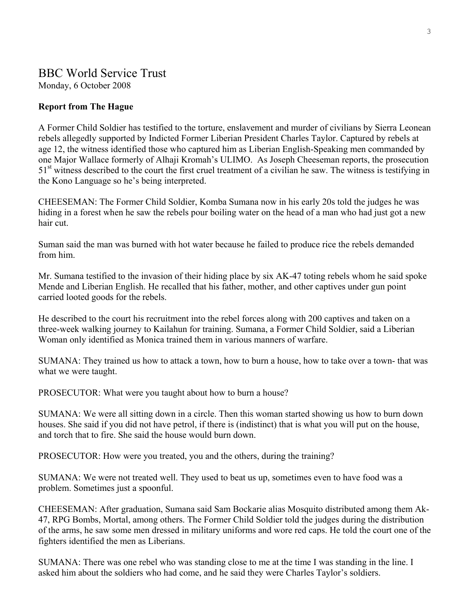# BBC World Service Trust Monday, 6 October 2008

#### **Report from The Hague**

A Former Child Soldier has testified to the torture, enslavement and murder of civilians by Sierra Leonean rebels allegedly supported by Indicted Former Liberian President Charles Taylor. Captured by rebels at age 12, the witness identified those who captured him as Liberian English-Speaking men commanded by one Major Wallace formerly of Alhaji Kromah's ULIMO. As Joseph Cheeseman reports, the prosecution  $51<sup>st</sup>$  witness described to the court the first cruel treatment of a civilian he saw. The witness is testifying in the Kono Language so he's being interpreted.

CHEESEMAN: The Former Child Soldier, Komba Sumana now in his early 20s told the judges he was hiding in a forest when he saw the rebels pour boiling water on the head of a man who had just got a new hair cut.

Suman said the man was burned with hot water because he failed to produce rice the rebels demanded from him.

Mr. Sumana testified to the invasion of their hiding place by six AK-47 toting rebels whom he said spoke Mende and Liberian English. He recalled that his father, mother, and other captives under gun point carried looted goods for the rebels.

He described to the court his recruitment into the rebel forces along with 200 captives and taken on a three-week walking journey to Kailahun for training. Sumana, a Former Child Soldier, said a Liberian Woman only identified as Monica trained them in various manners of warfare.

SUMANA: They trained us how to attack a town, how to burn a house, how to take over a town- that was what we were taught.

PROSECUTOR: What were you taught about how to burn a house?

SUMANA: We were all sitting down in a circle. Then this woman started showing us how to burn down houses. She said if you did not have petrol, if there is (indistinct) that is what you will put on the house, and torch that to fire. She said the house would burn down.

PROSECUTOR: How were you treated, you and the others, during the training?

SUMANA: We were not treated well. They used to beat us up, sometimes even to have food was a problem. Sometimes just a spoonful.

CHEESEMAN: After graduation, Sumana said Sam Bockarie alias Mosquito distributed among them Ak-47, RPG Bombs, Mortal, among others. The Former Child Soldier told the judges during the distribution of the arms, he saw some men dressed in military uniforms and wore red caps. He told the court one of the fighters identified the men as Liberians.

SUMANA: There was one rebel who was standing close to me at the time I was standing in the line. I asked him about the soldiers who had come, and he said they were Charles Taylor's soldiers.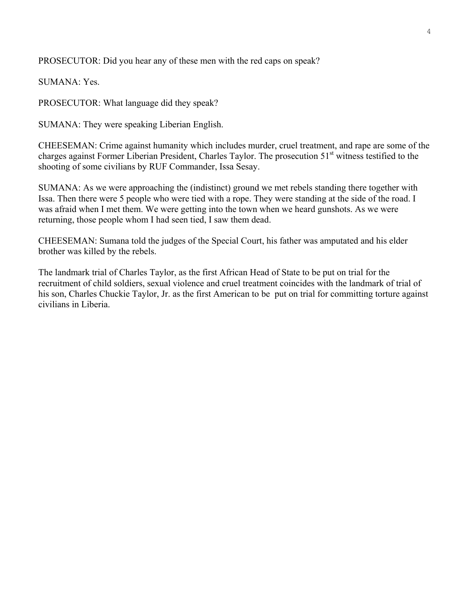PROSECUTOR: Did you hear any of these men with the red caps on speak?

SUMANA: Yes.

PROSECUTOR: What language did they speak?

SUMANA: They were speaking Liberian English.

CHEESEMAN: Crime against humanity which includes murder, cruel treatment, and rape are some of the charges against Former Liberian President, Charles Taylor. The prosecution 51<sup>st</sup> witness testified to the shooting of some civilians by RUF Commander, Issa Sesay.

SUMANA: As we were approaching the (indistinct) ground we met rebels standing there together with Issa. Then there were 5 people who were tied with a rope. They were standing at the side of the road. I was afraid when I met them. We were getting into the town when we heard gunshots. As we were returning, those people whom I had seen tied, I saw them dead.

CHEESEMAN: Sumana told the judges of the Special Court, his father was amputated and his elder brother was killed by the rebels.

The landmark trial of Charles Taylor, as the first African Head of State to be put on trial for the recruitment of child soldiers, sexual violence and cruel treatment coincides with the landmark of trial of his son, Charles Chuckie Taylor, Jr. as the first American to be put on trial for committing torture against civilians in Liberia.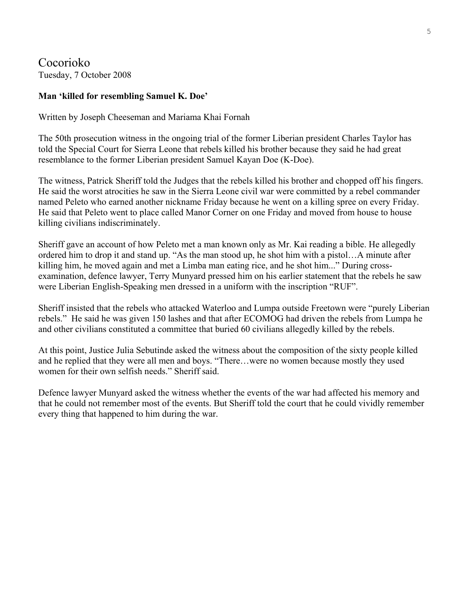Cocorioko Tuesday, 7 October 2008

#### **Man 'killed for resembling Samuel K. Doe'**

Written by Joseph Cheeseman and Mariama Khai Fornah

The 50th prosecution witness in the ongoing trial of the former Liberian president Charles Taylor has told the Special Court for Sierra Leone that rebels killed his brother because they said he had great resemblance to the former Liberian president Samuel Kayan Doe (K-Doe).

The witness, Patrick Sheriff told the Judges that the rebels killed his brother and chopped off his fingers. He said the worst atrocities he saw in the Sierra Leone civil war were committed by a rebel commander named Peleto who earned another nickname Friday because he went on a killing spree on every Friday. He said that Peleto went to place called Manor Corner on one Friday and moved from house to house killing civilians indiscriminately.

Sheriff gave an account of how Peleto met a man known only as Mr. Kai reading a bible. He allegedly ordered him to drop it and stand up. "As the man stood up, he shot him with a pistol…A minute after killing him, he moved again and met a Limba man eating rice, and he shot him..." During crossexamination, defence lawyer, Terry Munyard pressed him on his earlier statement that the rebels he saw were Liberian English-Speaking men dressed in a uniform with the inscription "RUF".

Sheriff insisted that the rebels who attacked Waterloo and Lumpa outside Freetown were "purely Liberian rebels." He said he was given 150 lashes and that after ECOMOG had driven the rebels from Lumpa he and other civilians constituted a committee that buried 60 civilians allegedly killed by the rebels.

At this point, Justice Julia Sebutinde asked the witness about the composition of the sixty people killed and he replied that they were all men and boys. "There…were no women because mostly they used women for their own selfish needs." Sheriff said.

Defence lawyer Munyard asked the witness whether the events of the war had affected his memory and that he could not remember most of the events. But Sheriff told the court that he could vividly remember every thing that happened to him during the war.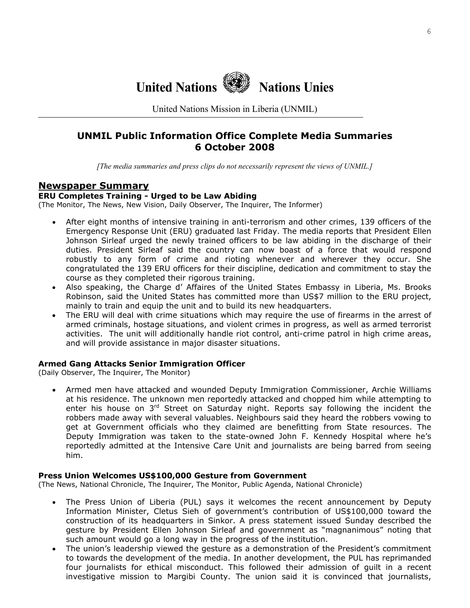**United Nations Nations Unies**

United Nations Mission in Liberia (UNMIL)

# **UNMIL Public Information Office Complete Media Summaries 6 October 2008**

*[The media summaries and press clips do not necessarily represent the views of UNMIL.]*

#### **Newspaper Summary**

#### **ERU Completes Training - Urged to be Law Abiding**

(The Monitor, The News, New Vision, Daily Observer, The Inquirer, The Informer)

- After eight months of intensive training in anti-terrorism and other crimes, 139 officers of the Emergency Response Unit (ERU) graduated last Friday. The media reports that President Ellen Johnson Sirleaf urged the newly trained officers to be law abiding in the discharge of their duties. President Sirleaf said the country can now boast of a force that would respond robustly to any form of crime and rioting whenever and wherever they occur. She congratulated the 139 ERU officers for their discipline, dedication and commitment to stay the course as they completed their rigorous training.
- Also speaking, the Charge d' Affaires of the United States Embassy in Liberia, Ms. Brooks Robinson, said the United States has committed more than US\$7 million to the ERU project, mainly to train and equip the unit and to build its new headquarters.
- The ERU will deal with crime situations which may require the use of firearms in the arrest of armed criminals, hostage situations, and violent crimes in progress, as well as armed terrorist activities. The unit will additionally handle riot control, anti-crime patrol in high crime areas, and will provide assistance in major disaster situations.

#### **Armed Gang Attacks Senior Immigration Officer**

(Daily Observer, The Inquirer, The Monitor)

• Armed men have attacked and wounded Deputy Immigration Commissioner, Archie Williams at his residence. The unknown men reportedly attacked and chopped him while attempting to enter his house on 3<sup>rd</sup> Street on Saturday night. Reports say following the incident the robbers made away with several valuables. Neighbours said they heard the robbers vowing to get at Government officials who they claimed are benefitting from State resources. The Deputy Immigration was taken to the state-owned John F. Kennedy Hospital where he's reportedly admitted at the Intensive Care Unit and journalists are being barred from seeing him.

#### **Press Union Welcomes US\$100,000 Gesture from Government**

(The News, National Chronicle, The Inquirer, The Monitor, Public Agenda, National Chronicle)

- The Press Union of Liberia (PUL) says it welcomes the recent announcement by Deputy Information Minister, Cletus Sieh of government's contribution of US\$100,000 toward the construction of its headquarters in Sinkor. A press statement issued Sunday described the gesture by President Ellen Johnson Sirleaf and government as "magnanimous" noting that such amount would go a long way in the progress of the institution.
- The union's leadership viewed the gesture as a demonstration of the President's commitment to towards the development of the media. In another development, the PUL has reprimanded four journalists for ethical misconduct. This followed their admission of guilt in a recent investigative mission to Margibi County. The union said it is convinced that journalists,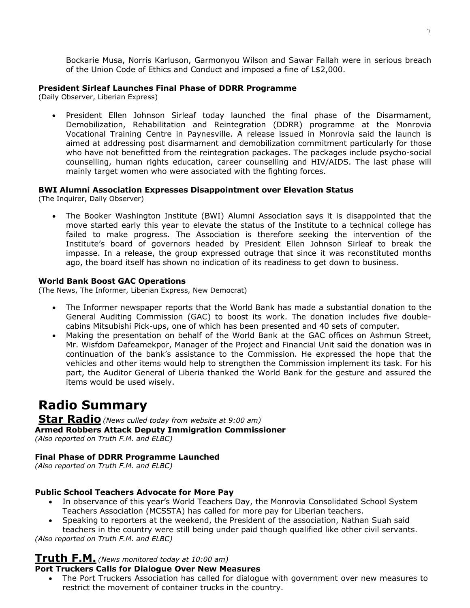Bockarie Musa, Norris Karluson, Garmonyou Wilson and Sawar Fallah were in serious breach of the Union Code of Ethics and Conduct and imposed a fine of L\$2,000.

#### **President Sirleaf Launches Final Phase of DDRR Programme**

(Daily Observer, Liberian Express)

• President Ellen Johnson Sirleaf today launched the final phase of the Disarmament, Demobilization, Rehabilitation and Reintegration (DDRR) programme at the Monrovia Vocational Training Centre in Paynesville. A release issued in Monrovia said the launch is aimed at addressing post disarmament and demobilization commitment particularly for those who have not benefitted from the reintegration packages. The packages include psycho-social counselling, human rights education, career counselling and HIV/AIDS. The last phase will mainly target women who were associated with the fighting forces.

#### **BWI Alumni Association Expresses Disappointment over Elevation Status**

(The Inquirer, Daily Observer)

• The Booker Washington Institute (BWI) Alumni Association says it is disappointed that the move started early this year to elevate the status of the Institute to a technical college has failed to make progress. The Association is therefore seeking the intervention of the Institute's board of governors headed by President Ellen Johnson Sirleaf to break the impasse. In a release, the group expressed outrage that since it was reconstituted months ago, the board itself has shown no indication of its readiness to get down to business.

#### **World Bank Boost GAC Operations**

(The News, The Informer, Liberian Express, New Democrat)

- The Informer newspaper reports that the World Bank has made a substantial donation to the General Auditing Commission (GAC) to boost its work. The donation includes five doublecabins Mitsubishi Pick-ups, one of which has been presented and 40 sets of computer.
- Making the presentation on behalf of the World Bank at the GAC offices on Ashmun Street, Mr. Wisfdom Dafeamekpor, Manager of the Project and Financial Unit said the donation was in continuation of the bank's assistance to the Commission. He expressed the hope that the vehicles and other items would help to strengthen the Commission implement its task. For his part, the Auditor General of Liberia thanked the World Bank for the gesture and assured the items would be used wisely.

# **Radio Summary**

# **Star Radio***(News culled today from website at 9:00 am)*

**Armed Robbers Attack Deputy Immigration Commissioner** 

*(Also reported on Truth F.M. and ELBC)* 

#### **Final Phase of DDRR Programme Launched**

*(Also reported on Truth F.M. and ELBC)* 

#### **Public School Teachers Advocate for More Pay**

- In observance of this year's World Teachers Day, the Monrovia Consolidated School System Teachers Association (MCSSTA) has called for more pay for Liberian teachers.
- Speaking to reporters at the weekend, the President of the association, Nathan Suah said teachers in the country were still being under paid though qualified like other civil servants.

*(Also reported on Truth F.M. and ELBC)* 

# **Truth F.M.** *(News monitored today at 10:00 am)*

#### **Port Truckers Calls for Dialogue Over New Measures**

• The Port Truckers Association has called for dialogue with government over new measures to restrict the movement of container trucks in the country.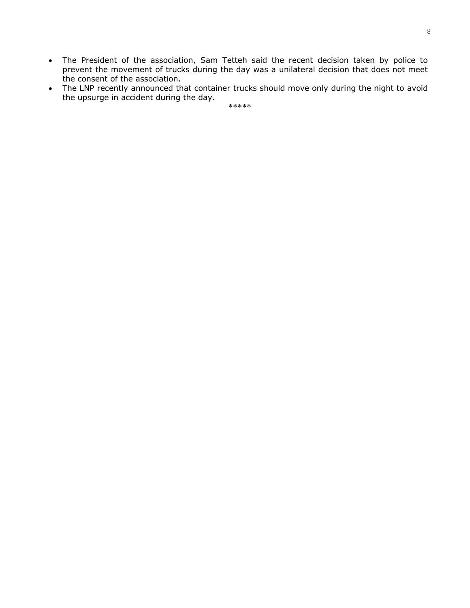- The President of the association, Sam Tetteh said the recent decision taken by police to prevent the movement of trucks during the day was a unilateral decision that does not meet the consent of the association.
- The LNP recently announced that container trucks should move only during the night to avoid the upsurge in accident during the day.

\*\*\*\*\*